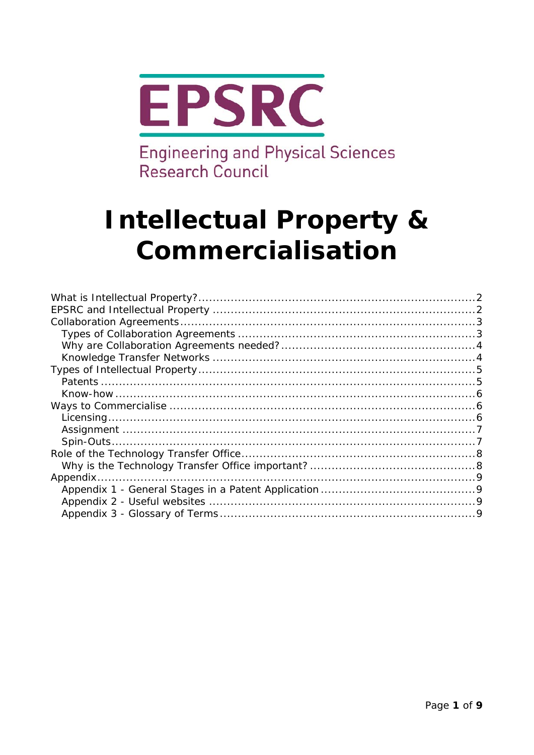

**Engineering and Physical Sciences** Research Council

# **Intellectual Property &** Commercialisation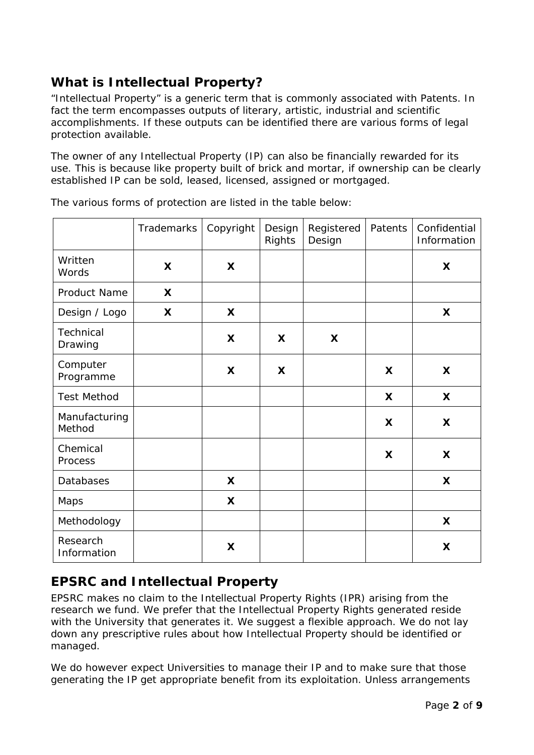# <span id="page-1-0"></span>**What is Intellectual Property?**

"Intellectual Property" is a generic term that is commonly associated with Patents. In fact the term encompasses outputs of literary, artistic, industrial and scientific accomplishments. If these outputs can be identified there are various forms of legal protection available.

The owner of any Intellectual Property (IP) can also be financially rewarded for its use. This is because like property built of brick and mortar, if ownership can be clearly established IP can be sold, leased, licensed, assigned or mortgaged.

|                         | Trademarks | Copyright | Design<br>Rights | Registered<br>Design | Patents | Confidential<br>Information |
|-------------------------|------------|-----------|------------------|----------------------|---------|-----------------------------|
| Written<br>Words        | X          | X         |                  |                      |         | $\boldsymbol{\mathsf{X}}$   |
| Product Name            | X          |           |                  |                      |         |                             |
| Design / Logo           | X          | X         |                  |                      |         | X                           |
| Technical<br>Drawing    |            | X         | X                | X                    |         |                             |
| Computer<br>Programme   |            | X         | X                |                      | X       | X                           |
| <b>Test Method</b>      |            |           |                  |                      | X       | X                           |
| Manufacturing<br>Method |            |           |                  |                      | X       | X                           |
| Chemical<br>Process     |            |           |                  |                      | X       | X                           |
| Databases               |            | X         |                  |                      |         | X                           |
| Maps                    |            | X         |                  |                      |         |                             |
| Methodology             |            |           |                  |                      |         | X                           |
| Research<br>Information |            | X         |                  |                      |         | X                           |

The various forms of protection are listed in the table below:

## <span id="page-1-1"></span>**EPSRC and Intellectual Property**

EPSRC makes no claim to the Intellectual Property Rights (IPR) arising from the research we fund. We prefer that the Intellectual Property Rights generated reside with the University that generates it. We suggest a flexible approach. We do not lay down any prescriptive rules about how Intellectual Property should be identified or managed.

We do however expect Universities to manage their IP and to make sure that those generating the IP get appropriate benefit from its exploitation. Unless arrangements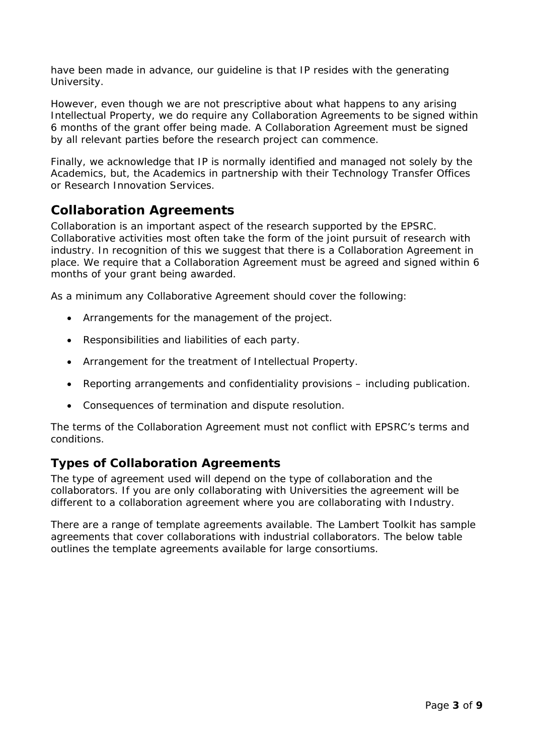have been made in advance, our guideline is that IP resides with the generating University.

However, even though we are not prescriptive about what happens to any arising Intellectual Property, we do require any Collaboration Agreements to be signed within 6 months of the grant offer being made. A Collaboration Agreement must be signed by all relevant parties before the research project can commence.

Finally, we acknowledge that IP is normally identified and managed not solely by the Academics, but, the Academics in partnership with their Technology Transfer Offices or Research Innovation Services.

## **Collaboration Agreements**

<span id="page-2-0"></span>Collaboration is an important aspect of the research supported by the EPSRC. Collaborative activities most often take the form of the joint pursuit of research with industry. In recognition of this we suggest that there is a Collaboration Agreement in place. We require that a Collaboration Agreement must be agreed and signed within 6 months of your grant being awarded.

As a minimum any Collaborative Agreement should cover the following:

- Arrangements for the management of the project.
- Responsibilities and liabilities of each party.
- Arrangement for the treatment of Intellectual Property.
- Reporting arrangements and confidentiality provisions including publication.
- Consequences of termination and dispute resolution.

The terms of the Collaboration Agreement must not conflict with EPSRC's terms and conditions.

#### **Types of Collaboration Agreements**

<span id="page-2-1"></span>The type of agreement used will depend on the type of collaboration and the collaborators. If you are only collaborating with Universities the agreement will be different to a collaboration agreement where you are collaborating with Industry.

There are a range of template agreements available. The Lambert Toolkit has sample agreements that cover collaborations with industrial collaborators. The below table outlines the template agreements available for large consortiums.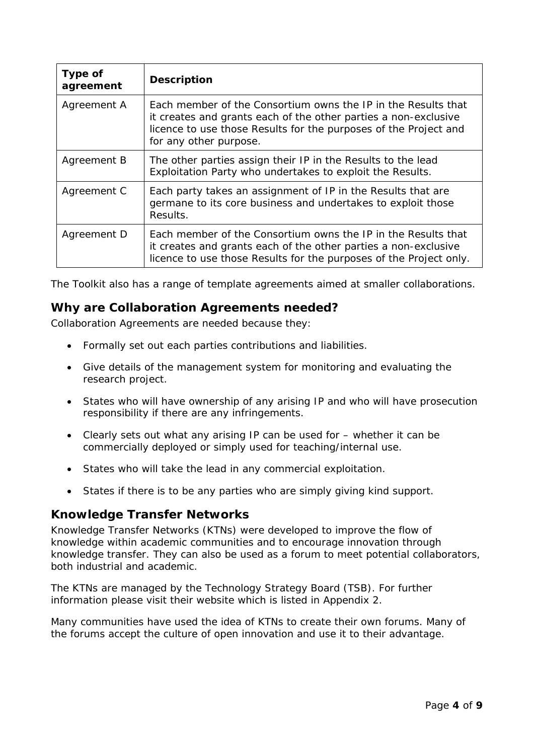| Type of<br>agreement | <b>Description</b>                                                                                                                                                                                                             |
|----------------------|--------------------------------------------------------------------------------------------------------------------------------------------------------------------------------------------------------------------------------|
| Agreement A          | Each member of the Consortium owns the IP in the Results that<br>it creates and grants each of the other parties a non-exclusive<br>licence to use those Results for the purposes of the Project and<br>for any other purpose. |
| Agreement B          | The other parties assign their IP in the Results to the lead<br>Exploitation Party who undertakes to exploit the Results.                                                                                                      |
| Agreement C          | Each party takes an assignment of IP in the Results that are<br>germane to its core business and undertakes to exploit those<br>Results.                                                                                       |
| Agreement D          | Each member of the Consortium owns the IP in the Results that<br>it creates and grants each of the other parties a non-exclusive<br>licence to use those Results for the purposes of the Project only.                         |

The Toolkit also has a range of template agreements aimed at smaller collaborations.

#### **Why are Collaboration Agreements needed?**

<span id="page-3-0"></span>Collaboration Agreements are needed because they:

- Formally set out each parties contributions and liabilities.
- Give details of the management system for monitoring and evaluating the research project.
- States who will have ownership of any arising IP and who will have prosecution responsibility if there are any infringements.
- Clearly sets out what any arising IP can be used for whether it can be commercially deployed or simply used for teaching/internal use.
- States who will take the lead in any commercial exploitation.
- States if there is to be any parties who are simply giving kind support.

#### **Knowledge Transfer Networks**

<span id="page-3-1"></span>Knowledge Transfer Networks (KTNs) were developed to improve the flow of knowledge within academic communities and to encourage innovation through knowledge transfer. They can also be used as a forum to meet potential collaborators, both industrial and academic.

The KTNs are managed by the Technology Strategy Board (TSB). For further information please visit their website which is listed in Appendix 2.

Many communities have used the idea of KTNs to create their own forums. Many of the forums accept the culture of open innovation and use it to their advantage.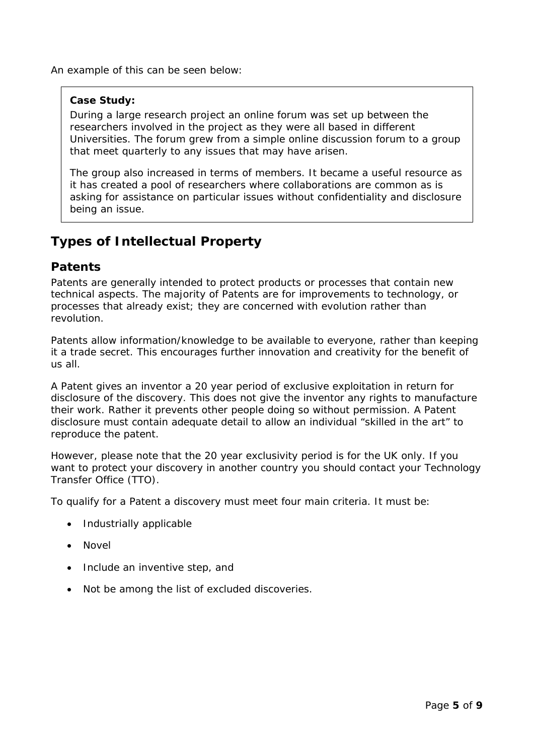An example of this can be seen below:

#### **Case Study:**

During a large research project an online forum was set up between the researchers involved in the project as they were all based in different Universities. The forum grew from a simple online discussion forum to a group that meet quarterly to any issues that may have arisen.

The group also increased in terms of members. It became a useful resource as it has created a pool of researchers where collaborations are common as is asking for assistance on particular issues without confidentiality and disclosure being an issue.

## <span id="page-4-0"></span>**Types of Intellectual Property**

#### <span id="page-4-1"></span>**Patents**

Patents are generally intended to protect products or processes that contain new technical aspects. The majority of Patents are for improvements to technology, or processes that already exist; they are concerned with evolution rather than revolution.

Patents allow information/knowledge to be available to everyone, rather than keeping it a trade secret. This encourages further innovation and creativity for the benefit of us all.

A Patent gives an inventor a 20 year period of exclusive exploitation in return for disclosure of the discovery. This does not give the inventor any rights to manufacture their work. Rather it prevents other people doing so without permission. A Patent disclosure must contain adequate detail to allow an individual "skilled in the art" to reproduce the patent.

However, please note that the 20 year exclusivity period is for the UK only. If you want to protect your discovery in another country you should contact your Technology Transfer Office (TTO).

To qualify for a Patent a discovery must meet four main criteria. It must be:

- Industrially applicable
- Novel
- Include an inventive step, and
- Not be among the list of excluded discoveries.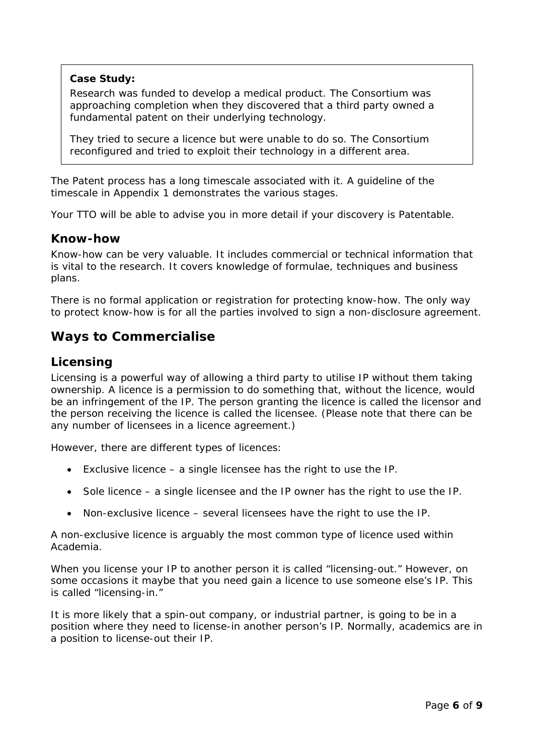#### **Case Study:**

Research was funded to develop a medical product. The Consortium was approaching completion when they discovered that a third party owned a fundamental patent on their underlying technology.

They tried to secure a licence but were unable to do so. The Consortium reconfigured and tried to exploit their technology in a different area.

The Patent process has a long timescale associated with it. A guideline of the timescale in Appendix 1 demonstrates the various stages.

Your TTO will be able to advise you in more detail if your discovery is Patentable.

#### **Know-how**

<span id="page-5-0"></span>Know-how can be very valuable. It includes commercial or technical information that is vital to the research. It covers knowledge of formulae, techniques and business plans.

There is no formal application or registration for protecting know-how. The only way to protect know-how is for all the parties involved to sign a non-disclosure agreement.

#### <span id="page-5-1"></span>**Ways to Commercialise**

#### <span id="page-5-2"></span>**Licensing**

Licensing is a powerful way of allowing a third party to utilise IP without them taking ownership. A licence is a permission to do something that, without the licence, would be an infringement of the IP. The person granting the licence is called the licensor and the person receiving the licence is called the licensee. (Please note that there can be any number of licensees in a licence agreement.)

However, there are different types of licences:

- Exclusive licence a single licensee has the right to use the IP.
- Sole licence a single licensee and the IP owner has the right to use the IP.
- Non-exclusive licence several licensees have the right to use the IP.

A non-exclusive licence is arguably the most common type of licence used within Academia.

When you license your IP to another person it is called "licensing-out." However, on some occasions it maybe that you need gain a licence to use someone else's IP. This is called "licensing-in."

It is more likely that a spin-out company, or industrial partner, is going to be in a position where they need to license-in another person's IP. Normally, academics are in a position to license-out their IP.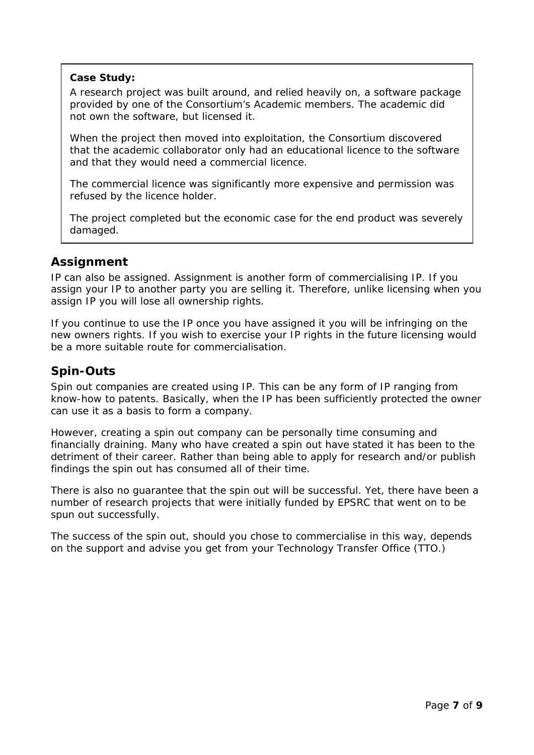#### **Case Study:**

A research project was built around, and relied heavily on, a software package provided by one of the Consortium's Academic members. The academic did not own the software, but licensed it.

When the project then moved into exploitation, the Consortium discovered that the academic collaborator only had an educational licence to the software and that they would need a commercial licence.

The commercial licence was significantly more expensive and permission was refused by the licence holder.

The project completed but the economic case for the end product was severely damaged.

#### **Assignment**

<span id="page-6-0"></span>IP can also be assigned. Assignment is another form of commercialising IP. If you assign your IP to another party you are selling it. Therefore, unlike licensing when you assign IP you will lose all ownership rights.

If you continue to use the IP once you have assigned it you will be infringing on the new owners rights. If you wish to exercise your IP rights in the future licensing would be a more suitable route for commercialisation.

### **Spin-Outs**

<span id="page-6-1"></span>Spin out companies are created using IP. This can be any form of IP ranging from know-how to patents. Basically, when the IP has been sufficiently protected the owner can use it as a basis to form a company.

However, creating a spin out company can be personally time consuming and financially draining. Many who have created a spin out have stated it has been to the detriment of their career. Rather than being able to apply for research and/or publish findings the spin out has consumed all of their time.

There is also no guarantee that the spin out will be successful. Yet, there have been a number of research projects that were initially funded by EPSRC that went on to be spun out successfully.

The success of the spin out, should you chose to commercialise in this way, depends on the support and advise you get from your Technology Transfer Office (TTO.)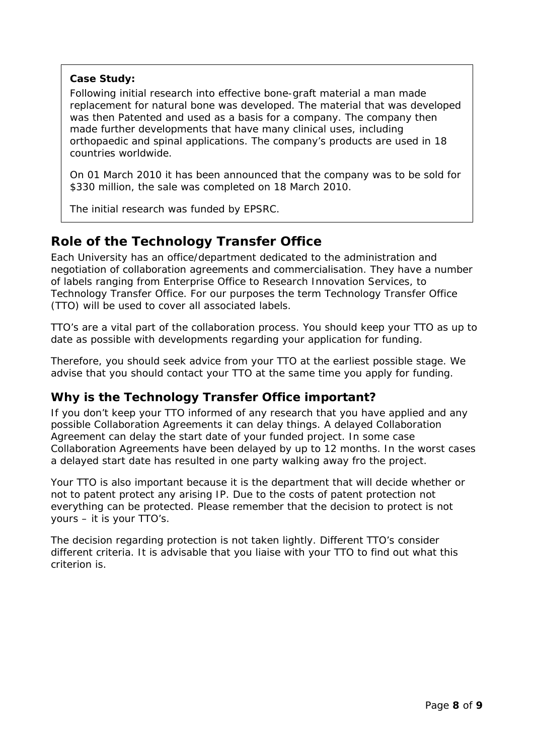#### **Case Study:**

Following initial research into effective bone-graft material a man made replacement for natural bone was developed. The material that was developed was then Patented and used as a basis for a company. The company then made further developments that have many clinical uses, including orthopaedic and spinal applications. The company's products are used in 18 countries worldwide.

On 01 March 2010 it has been announced that the company was to be sold for \$330 million, the sale was completed on 18 March 2010.

The initial research was funded by EPSRC.

## **Role of the Technology Transfer Office**

<span id="page-7-0"></span>Each University has an office/department dedicated to the administration and negotiation of collaboration agreements and commercialisation. They have a number of labels ranging from Enterprise Office to Research Innovation Services, to Technology Transfer Office. For our purposes the term Technology Transfer Office (TTO) will be used to cover all associated labels.

TTO's are a vital part of the collaboration process. You should keep your TTO as up to date as possible with developments regarding your application for funding.

Therefore, you should seek advice from your TTO at the earliest possible stage. We advise that you should contact your TTO at the same time you apply for funding.

## **Why is the Technology Transfer Office important?**

<span id="page-7-1"></span>If you don't keep your TTO informed of any research that you have applied and any possible Collaboration Agreements it can delay things. A delayed Collaboration Agreement can delay the start date of your funded project. In some case Collaboration Agreements have been delayed by up to 12 months. In the worst cases a delayed start date has resulted in one party walking away fro the project.

Your TTO is also important because it is the department that will decide whether or not to patent protect any arising IP. Due to the costs of patent protection not everything can be protected. Please remember that the decision to protect is not yours – it is your TTO's.

The decision regarding protection is not taken lightly. Different TTO's consider different criteria. It is advisable that you liaise with your TTO to find out what this criterion is.